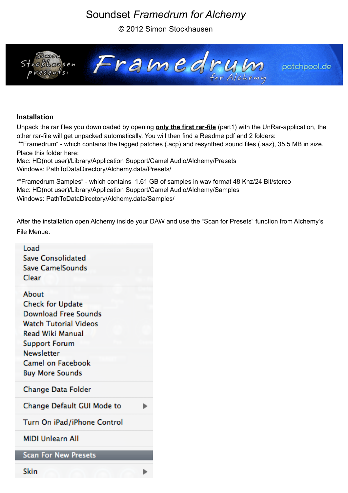# Soundset *Framedrum for Alchemy*

© 2012 Simon Stockhausen



## **Installation**

Unpack the rar files you downloaded by opening **only the first rar-file** (part1) with the UnRar-application, the other rar-file will get unpacked automatically. You will then find a Readme.pdf and 2 folders:

 \*"Framedrum" - which contains the tagged patches (.acp) and resynthed sound files (.aaz), 35.5 MB in size. Place this folder here:

Mac: HD(not user)/Library/Application Support/Camel Audio/Alchemy/Presets Windows: PathToDataDirectory/Alchemy.data/Presets/

\*"Framedrum Samples" - which contains 1.61 GB of samples in wav format 48 Khz/24 Bit/stereo Mac: HD(not user)/Library/Application Support/Camel Audio/Alchemy/Samples Windows: PathToDataDirectory/Alchemy.data/Samples/

After the installation open Alchemy inside your DAW and use the "Scan for Presets" function from Alchemy's File Menue.

| Load                                                |  |
|-----------------------------------------------------|--|
| <b>Save Consolidated</b><br><b>Save CamelSounds</b> |  |
| Clear                                               |  |
|                                                     |  |
| About                                               |  |
| <b>Check for Update</b>                             |  |
| <b>Download Free Sounds</b>                         |  |
| <b>Watch Tutorial Videos</b>                        |  |
| <b>Read Wiki Manual</b>                             |  |
| <b>Support Forum</b>                                |  |
| <b>Newsletter</b>                                   |  |
| Camel on Facebook                                   |  |
| <b>Buy More Sounds</b>                              |  |
| Change Data Folder                                  |  |
| Change Default GUI Mode to                          |  |
| Turn On iPad/iPhone Control                         |  |
| <b>MIDI Unlearn All</b>                             |  |
| <b>Scan For New Presets</b>                         |  |
|                                                     |  |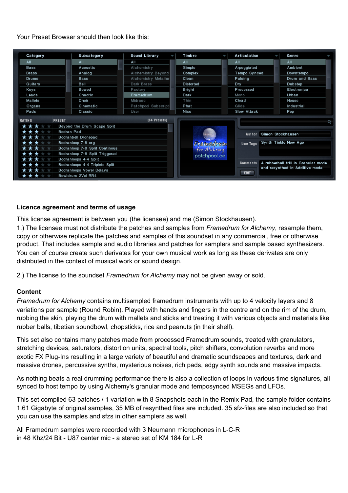#### Your Preset Browser should then look like this:

| Category                                       | Subcategory                 | Sound Library            | <b>Timbre</b>   | Articulation      |                                     | Genre         |  |
|------------------------------------------------|-----------------------------|--------------------------|-----------------|-------------------|-------------------------------------|---------------|--|
| All<br>All                                     |                             | All                      | All             | All               |                                     | AII           |  |
| Bass                                           | Acoustic                    | Alchemistry              | Simple          | Arpeggiated       |                                     | Ambient       |  |
| <b>Brass</b>                                   | Analog                      | Alchemistry Beyond       | Complex         | Tempo Synced      |                                     | Downtempo     |  |
| Drums                                          | <b>Bass</b>                 | Alchemistry Metallur     | Clean           | Pulsing           |                                     | Drum and Bass |  |
| Guitars<br>Bell                                |                             | Dark Brass               | Distorted       | Dry               |                                     | Dubstep       |  |
| Keys                                           | Bowed                       | Factory                  | Bright          | Processed         |                                     | Electronica   |  |
| Leads                                          | Chaotic                     | Framedrum                | Dark            | Mono              |                                     | Urban         |  |
| Mallets                                        | Choir                       | Midrasc                  | Thin            | Chord             |                                     | House         |  |
| Organs                                         | Cinematic                   | Patchpool Subscripti     | Phat            | Glide             |                                     | Industrial    |  |
| Pads                                           | Classic                     | User.                    | Nice            | Slow Attack       |                                     | Pop           |  |
| <b>PRESET</b><br><b>RATING</b>                 |                             | (64 Presets)             |                 |                   |                                     |               |  |
| ***                                            | Beyond the Drum Scape Split |                          |                 |                   |                                     |               |  |
| ***<br>Bodran Pad                              |                             |                          |                 |                   |                                     |               |  |
| * * *<br>Bodranbell Dronepad                   |                             |                          | Author          | Simon Stockhausen |                                     |               |  |
|                                                | Bodranloop 7-8 org          |                          |                 |                   | User Tags Synth Tinkle New Age      |               |  |
| Bodranloop 7-8 Split Continous                 |                             | Framedrum<br>for Alcheny |                 |                   |                                     |               |  |
| ★<br>Bodranloop 7-8 Split Triggered            |                             | potchpool.de             |                 |                   |                                     |               |  |
| Bodranloops 4-4 Split                          |                             |                          |                 |                   |                                     |               |  |
| $\star\star$<br>Bodranloops 4-4 Triplets Split |                             |                          | <b>Comments</b> |                   | A rubberball trill in Granular mode |               |  |
| * *<br><b>Bodranloops Vowel Delays</b>         |                             |                          |                 |                   | and resynthed in Additive mode      |               |  |
| Bowldrum 2Vel RR4                              |                             |                          |                 | <b>EDIT</b>       |                                     |               |  |

#### **Licence agreement and terms of usage**

This license agreement is between you (the licensee) and me (Simon Stockhausen).

1.) The licensee must not distribute the patches and samples from *Framedrum for Alchemy*, resample them, copy or otherwise replicate the patches and samples of this soundset in any commercial, free or otherwise product. That includes sample and audio libraries and patches for samplers and sample based synthesizers. You can of course create such derivates for your own musical work as long as these derivates are only distributed in the context of musical work or sound design.

2.) The license to the soundset *Framedrum for Alchemy* may not be given away or sold.

### **Content**

*Framedrum for Alchemy* contains multisampled framedrum instruments with up to 4 velocity layers and 8 variations per sample (Round Robin). Played with hands and fingers in the centre and on the rim of the drum, rubbing the skin, playing the drum with mallets and sticks and treating it with various objects and materials like rubber balls, tibetian soundbowl, chopsticks, rice and peanuts (in their shell).

This set also contains many patches made from processed Framedrum sounds, treated with granulators, stretching devices, saturators, distortion units, spectral tools, pitch shifters, convolution reverbs and more exotic FX Plug-Ins resulting in a large variety of beautiful and dramatic soundscapes and textures, dark and massive drones, percussive synths, mysterious noises, rich pads, edgy synth sounds and massive impacts.

As nothing beats a real drumming performance there is also a collection of loops in various time signatures, all synced to host tempo by using Alchemy's granular mode and temposynced MSEGs and LFOs.

This set compiled 63 patches / 1 variation with 8 Snapshots each in the Remix Pad, the sample folder contains 1.61 Gigabyte of original samples, 35 MB of resynthed files are included. 35 sfz-files are also included so that you can use the samples and sfzs in other samplers as well.

All Framedrum samples were recorded with 3 Neumann microphones in L-C-R in 48 Khz/24 Bit - U87 center mic - a stereo set of KM 184 for L-R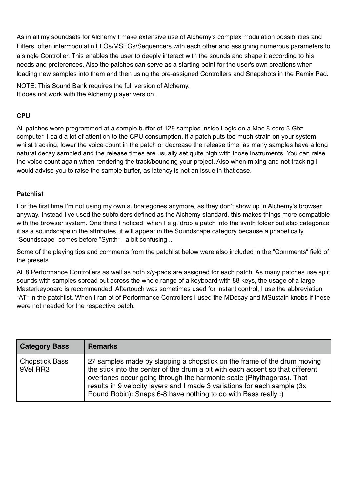As in all my soundsets for Alchemy I make extensive use of Alchemy's complex modulation possibilities and Filters, often intermodulatin LFOs/MSEGs/Sequencers with each other and assigning numerous parameters to a single Controller. This enables the user to deeply interact with the sounds and shape it according to his needs and preferences. Also the patches can serve as a starting point for the user's own creations when loading new samples into them and then using the pre-assigned Controllers and Snapshots in the Remix Pad.

NOTE: This Sound Bank requires the full version of Alchemy. It does not work with the Alchemy player version.

# **CPU**

All patches were programmed at a sample buffer of 128 samples inside Logic on a Mac 8-core 3 Ghz computer. I paid a lot of attention to the CPU consumption, if a patch puts too much strain on your system whilst tracking, lower the voice count in the patch or decrease the release time, as many samples have a long natural decay sampled and the release times are usually set quite high with those instruments. You can raise the voice count again when rendering the track/bouncing your project. Also when mixing and not tracking I would advise you to raise the sample buffer, as latency is not an issue in that case.

## **Patchlist**

For the first time I'm not using my own subcategories anymore, as they don't show up in Alchemy's browser anyway. Instead I've used the subfolders defined as the Alchemy standard, this makes things more compatible with the browser system. One thing I noticed: when I e.g. drop a patch into the synth folder but also categorize it as a soundscape in the attributes, it will appear in the Soundscape category because alphabetically "Soundscape" comes before "Synth" - a bit confusing...

Some of the playing tips and comments from the patchlist below were also included in the "Comments" field of the presets.

All 8 Performance Controllers as well as both x/y-pads are assigned for each patch. As many patches use split sounds with samples spread out across the whole range of a keyboard with 88 keys, the usage of a large Masterkeyboard is recommended. Aftertouch was sometimes used for instant control, I use the abbreviation "AT" in the patchlist. When I ran ot of Performance Controllers I used the MDecay and MSustain knobs if these were not needed for the respective patch.

| <b>Category Bass</b>              | <b>Remarks</b>                                                                                                                                                                                                                                                                                                                                                                   |
|-----------------------------------|----------------------------------------------------------------------------------------------------------------------------------------------------------------------------------------------------------------------------------------------------------------------------------------------------------------------------------------------------------------------------------|
| <b>Chopstick Bass</b><br>9Vel RR3 | 27 samples made by slapping a chopstick on the frame of the drum moving<br>the stick into the center of the drum a bit with each accent so that different<br>overtones occur going through the harmonic scale (Phythagoras). That<br>results in 9 velocity layers and I made 3 variations for each sample (3x)<br>Round Robin): Snaps 6-8 have nothing to do with Bass really :) |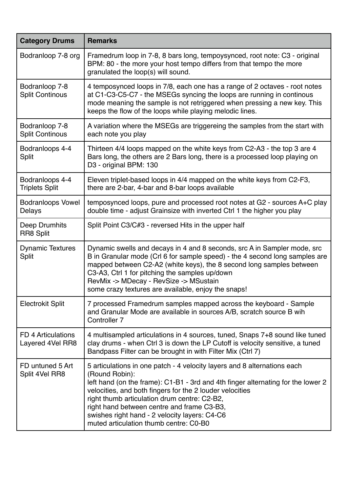| <b>Category Drums</b>                    | <b>Remarks</b>                                                                                                                                                                                                                                                                                                                                                                                                                      |
|------------------------------------------|-------------------------------------------------------------------------------------------------------------------------------------------------------------------------------------------------------------------------------------------------------------------------------------------------------------------------------------------------------------------------------------------------------------------------------------|
| Bodranloop 7-8 org                       | Framedrum loop in 7-8, 8 bars long, tempoysynced, root note: C3 - original<br>BPM: 80 - the more your host tempo differs from that tempo the more<br>granulated the loop(s) will sound.                                                                                                                                                                                                                                             |
| Bodranloop 7-8<br><b>Split Continous</b> | 4 temposynced loops in 7/8, each one has a range of 2 octaves - root notes<br>at C1-C3-C5-C7 - the MSEGs syncing the loops are running in continous<br>mode meaning the sample is not retriggered when pressing a new key. This<br>keeps the flow of the loops while playing melodic lines.                                                                                                                                         |
| Bodranloop 7-8<br><b>Split Continous</b> | A variation where the MSEGs are triggereing the samples from the start with<br>each note you play                                                                                                                                                                                                                                                                                                                                   |
| Bodranloops 4-4<br>Split                 | Thirteen 4/4 loops mapped on the white keys from C2-A3 - the top 3 are 4<br>Bars long, the others are 2 Bars long, there is a processed loop playing on<br>D3 - original BPM: 130                                                                                                                                                                                                                                                   |
| Bodranloops 4-4<br><b>Triplets Split</b> | Eleven triplet-based loops in 4/4 mapped on the white keys from C2-F3,<br>there are 2-bar, 4-bar and 8-bar loops available                                                                                                                                                                                                                                                                                                          |
| <b>Bodranloops Vowel</b><br>Delays       | temposynced loops, pure and processed root notes at G2 - sources A+C play<br>double time - adjust Grainsize with inverted Ctrl 1 the higher you play                                                                                                                                                                                                                                                                                |
| Deep Drumhits<br><b>RR8 Split</b>        | Split Point C3/C#3 - reversed Hits in the upper half                                                                                                                                                                                                                                                                                                                                                                                |
| <b>Dynamic Textures</b><br><b>Split</b>  | Dynamic swells and decays in 4 and 8 seconds, src A in Sampler mode, src<br>B in Granular mode (Crl 6 for sample speed) - the 4 second long samples are<br>mapped between C2-A2 (white keys), the 8 second long samples between<br>C3-A3, Ctrl 1 for pitching the samples up/down<br>RevMix -> MDecay - RevSize -> MSustain<br>some crazy textures are available, enjoy the snaps!                                                  |
| <b>Electrokit Split</b>                  | 7 processed Framedrum samples mapped across the keyboard - Sample<br>and Granular Mode are available in sources A/B, scratch source B wih<br>Controller 7                                                                                                                                                                                                                                                                           |
| FD 4 Articulations<br>Layered 4Vel RR8   | 4 multisampled articulations in 4 sources, tuned, Snaps 7+8 sound like tuned<br>clay drums - when Ctrl 3 is down the LP Cutoff is velocity sensitive, a tuned<br>Bandpass Filter can be brought in with Filter Mix (Ctrl 7)                                                                                                                                                                                                         |
| FD untuned 5 Art<br>Split 4Vel RR8       | 5 articulations in one patch - 4 velocity layers and 8 alternations each<br>(Round Robin):<br>left hand (on the frame): C1-B1 - 3rd and 4th finger alternating for the lower 2<br>velocities, and both fingers for the 2 louder velocities<br>right thumb articulation drum centre: C2-B2,<br>right hand between centre and frame C3-B3,<br>swishes right hand - 2 velocity layers: C4-C6<br>muted articulation thumb centre: C0-B0 |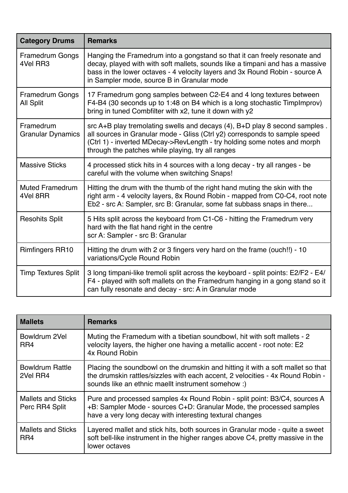| <b>Category Drums</b>                      | <b>Remarks</b>                                                                                                                                                                                                                                                                            |
|--------------------------------------------|-------------------------------------------------------------------------------------------------------------------------------------------------------------------------------------------------------------------------------------------------------------------------------------------|
| <b>Framedrum Gongs</b><br>4Vel RR3         | Hanging the Framedrum into a gongstand so that it can freely resonate and<br>decay, played with with soft mallets, sounds like a timpani and has a massive<br>bass in the lower octaves - 4 velocity layers and 3x Round Robin - source A<br>in Sampler mode, source B in Granular mode   |
| <b>Framedrum Gongs</b><br><b>All Split</b> | 17 Framedrum gong samples between C2-E4 and 4 long textures between<br>F4-B4 (30 seconds up to 1:48 on B4 which is a long stochastic TimpImprov)<br>bring in tuned Combfilter with x2, tune it down with y2                                                                               |
| Framedrum<br><b>Granular Dynamics</b>      | src A+B play tremolating swells and decays (4), B+D play 8 second samples.<br>all sources in Granular mode - Gliss (Ctrl y2) corresponds to sample speed<br>(Ctrl 1) - inverted MDecay->RevLength - try holding some notes and morph<br>through the patches while playing, try all ranges |
| <b>Massive Sticks</b>                      | 4 processed stick hits in 4 sources with a long decay - try all ranges - be<br>careful with the volume when switching Snaps!                                                                                                                                                              |
| <b>Muted Framedrum</b><br>4Vel 8RR         | Hitting the drum with the thumb of the right hand muting the skin with the<br>right arm - 4 velocity layers, 8x Round Robin - mapped from C0-C4, root note<br>Eb2 - src A: Sampler, src B: Granular, some fat subbass snaps in there                                                      |
| <b>Resohits Split</b>                      | 5 Hits split across the keyboard from C1-C6 - hitting the Framedrum very<br>hard with the flat hand right in the centre<br>scr A: Sampler - src B: Granular                                                                                                                               |
| <b>Rimfingers RR10</b>                     | Hitting the drum with 2 or 3 fingers very hard on the frame (ouch!!) - 10<br>variations/Cycle Round Robin                                                                                                                                                                                 |
| <b>Timp Textures Split</b>                 | 3 long timpani-like tremoli split across the keyboard - split points: E2/F2 - E4/<br>F4 - played with soft mallets on the Framedrum hanging in a gong stand so it<br>can fully resonate and decay - src: A in Granular mode                                                               |

| <b>Mallets</b>                              | <b>Remarks</b>                                                                                                                                                                                                          |
|---------------------------------------------|-------------------------------------------------------------------------------------------------------------------------------------------------------------------------------------------------------------------------|
| Bowldrum 2Vel<br>RR4                        | Muting the Framedum with a tibetian soundbowl, hit with soft mallets - 2<br>velocity layers, the higher one having a metallic accent - root note: E2<br>4x Round Robin                                                  |
| <b>Bowldrum Rattle</b><br>2Vel RR4          | Placing the soundbowl on the drumskin and hitting it with a soft mallet so that<br>the drumskin rattles/sizzles with each accent, 2 velocities - 4x Round Robin -<br>sounds like an ethnic maellt instrument somehow :) |
| <b>Mallets and Sticks</b><br>Perc RR4 Split | Pure and processed samples 4x Round Robin - split point: B3/C4, sources A<br>+B: Sampler Mode - sources C+D: Granular Mode, the processed samples<br>have a very long decay with interesting textural changes           |
| <b>Mallets and Sticks</b><br>RR4            | Layered mallet and stick hits, both sources in Granular mode - quite a sweet<br>soft bell-like instrument in the higher ranges above C4, pretty massive in the<br>lower octaves                                         |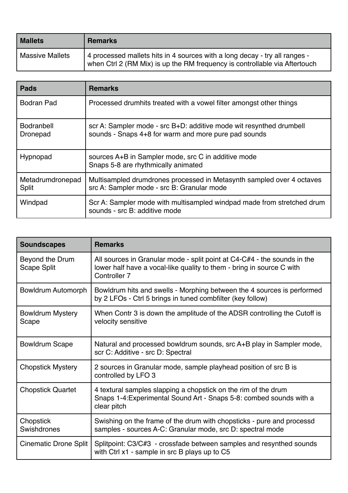| <b>Mallets</b>         | <b>Remarks</b>                                                                                                                                           |
|------------------------|----------------------------------------------------------------------------------------------------------------------------------------------------------|
| <b>Massive Mallets</b> | 4 processed mallets hits in 4 sources with a long decay - try all ranges -<br>when Ctrl 2 (RM Mix) is up the RM frequency is controllable via Aftertouch |

| <b>Pads</b>                      | <b>Remarks</b>                                                                                                              |
|----------------------------------|-----------------------------------------------------------------------------------------------------------------------------|
| <b>Bodran Pad</b>                | Processed drumhits treated with a vowel filter amongst other things                                                         |
| <b>Bodranbell</b><br>Dronepad    | scr A: Sampler mode - src B+D: additive mode wit resynthed drumbell<br>sounds - Snaps 4+8 for warm and more pure pad sounds |
| Hypnopad                         | sources A+B in Sampler mode, src C in additive mode<br>Snaps 5-8 are rhythmically animated                                  |
| Metadrumdronepad<br><b>Split</b> | Multisampled drumdrones processed in Metasynth sampled over 4 octaves<br>src A: Sampler mode - src B: Granular mode         |
| Windpad                          | Scr A: Sampler mode with multisampled windpad made from stretched drum<br>sounds - src B: additive mode                     |

| <b>Soundscapes</b>                    | <b>Remarks</b>                                                                                                                                                               |
|---------------------------------------|------------------------------------------------------------------------------------------------------------------------------------------------------------------------------|
| Beyond the Drum<br><b>Scape Split</b> | All sources in Granular mode - split point at C4-C#4 - the sounds in the<br>lower half have a vocal-like quality to them - bring in source C with<br>Controller <sub>7</sub> |
| Bowldrum Automorph                    | Bowldrum hits and swells - Morphing between the 4 sources is performed<br>by 2 LFOs - Ctrl 5 brings in tuned combfilter (key follow)                                         |
| <b>Bowldrum Mystery</b><br>Scape      | When Contr 3 is down the amplitude of the ADSR controlling the Cutoff is<br>velocity sensitive                                                                               |
| <b>Bowldrum Scape</b>                 | Natural and processed bowldrum sounds, src A+B play in Sampler mode,<br>scr C: Additive - src D: Spectral                                                                    |
| <b>Chopstick Mystery</b>              | 2 sources in Granular mode, sample playhead position of src B is<br>controlled by LFO 3                                                                                      |
| <b>Chopstick Quartet</b>              | 4 textural samples slapping a chopstick on the rim of the drum<br>Snaps 1-4: Experimental Sound Art - Snaps 5-8: combed sounds with a<br>clear pitch                         |
| Chopstick<br>Swishdrones              | Swishing on the frame of the drum with chopsticks - pure and processd<br>samples - sources A-C: Granular mode, src D: spectral mode                                          |
| <b>Cinematic Drone Split</b>          | Splitpoint: C3/C#3 - crossfade between samples and resynthed sounds<br>with Ctrl x1 - sample in src B plays up to C5                                                         |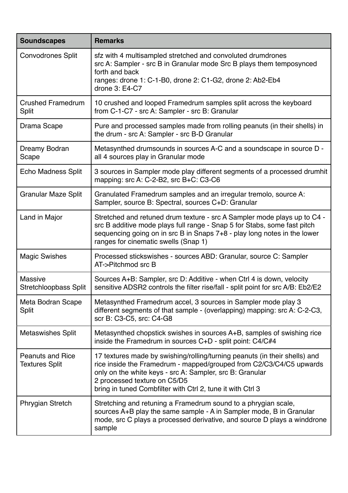| <b>Soundscapes</b>                             | <b>Remarks</b>                                                                                                                                                                                                                                                                                              |
|------------------------------------------------|-------------------------------------------------------------------------------------------------------------------------------------------------------------------------------------------------------------------------------------------------------------------------------------------------------------|
| <b>Convodrones Split</b>                       | sfz with 4 multisampled stretched and convoluted drumdrones<br>src A: Sampler - src B in Granular mode Src B plays them temposynced<br>forth and back<br>ranges: drone 1: C-1-B0, drone 2: C1-G2, drone 2: Ab2-Eb4<br>drone 3: E4-C7                                                                        |
| <b>Crushed Framedrum</b><br>Split              | 10 crushed and looped Framedrum samples split across the keyboard<br>from C-1-C7 - src A: Sampler - src B: Granular                                                                                                                                                                                         |
| Drama Scape                                    | Pure and processed samples made from rolling peanuts (in their shells) in<br>the drum - src A: Sampler - src B-D Granular                                                                                                                                                                                   |
| Dreamy Bodran<br>Scape                         | Metasynthed drumsounds in sources A-C and a soundscape in source D -<br>all 4 sources play in Granular mode                                                                                                                                                                                                 |
| Echo Madness Split                             | 3 sources in Sampler mode play different segments of a processed drumhit<br>mapping: src A: C-2-B2, src B+C: C3-C6                                                                                                                                                                                          |
| <b>Granular Maze Split</b>                     | Granulated Framedrum samples and an irregular tremolo, source A:<br>Sampler, source B: Spectral, sources C+D: Granular                                                                                                                                                                                      |
| Land in Major                                  | Stretched and retuned drum texture - src A Sampler mode plays up to C4 -<br>src B additive mode plays full range - Snap 5 for Stabs, some fast pitch<br>sequencing going on in src B in Snaps 7+8 - play long notes in the lower<br>ranges for cinematic swells (Snap 1)                                    |
| <b>Magic Swishes</b>                           | Processed stickswishes - sources ABD: Granular, source C: Sampler<br>AT->Pitchmod src B                                                                                                                                                                                                                     |
| <b>Massive</b><br><b>Stretchloopbass Split</b> | Sources A+B: Sampler, src D: Additive - when Ctrl 4 is down, velocity<br>sensitive ADSR2 controls the filter rise/fall - split point for src A/B: Eb2/E2                                                                                                                                                    |
| Meta Bodran Scape<br><b>Split</b>              | Metasynthed Framedrum accel, 3 sources in Sampler mode play 3<br>different segments of that sample - (overlapping) mapping: src A: C-2-C3,<br>scr B: C3-C5, src: C4-G8                                                                                                                                      |
| <b>Metaswishes Split</b>                       | Metasynthed chopstick swishes in sources A+B, samples of swishing rice<br>inside the Framedrum in sources C+D - split point: C4/C#4                                                                                                                                                                         |
| <b>Peanuts and Rice</b><br>Textures Split      | 17 textures made by swishing/rolling/turning peanuts (in their shells) and<br>rice inside the Framedrum - mapped/grouped from C2/C3/C4/C5 upwards<br>only on the white keys - src A: Sampler, src B: Granular<br>2 processed texture on C5/D5<br>bring in tuned Combfilter with Ctrl 2, tune it with Ctrl 3 |
| <b>Phrygian Stretch</b>                        | Stretching and retuning a Framedrum sound to a phrygian scale,<br>sources A+B play the same sample - A in Sampler mode, B in Granular<br>mode, src C plays a processed derivative, and source D plays a winddrone<br>sample                                                                                 |